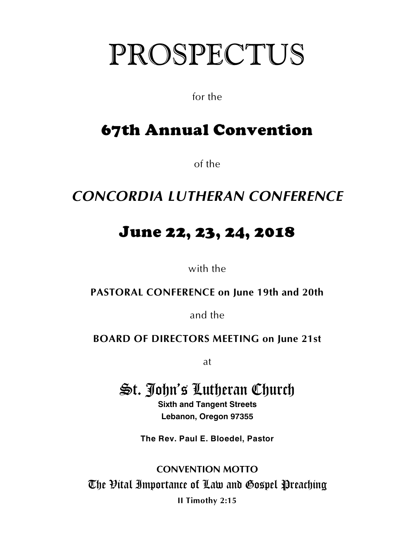# PROSPECTUS

for the

# 67th Annual Convention

of the

### *CONCORDIA LUTHERAN CONFERENCE*

## June 22, 23, 24, 2018

with the

**PASTORAL CONFERENCE on June 19th and 20th**

and the

### **BOARD OF DIRECTORS MEETING on June 21st**

at

### St. John's Lutheran Church

**Sixth and Tangent Streets Lebanon, Oregon 97355**

**The Rev. Paul E. Bloedel, Pastor**

**CONVENTION MOTTO** The Vital Importance of Law and Gospel Preaching **II Timothy 2:15**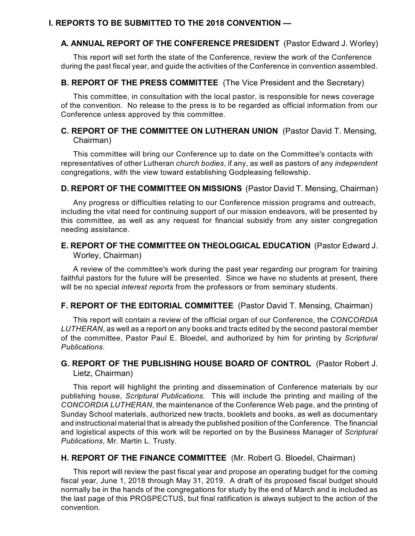#### **I. REPORTS TO BE SUBMITTED TO THE 2018 CONVENTION —**

#### **A. ANNUAL REPORT OF THE CONFERENCE PRESIDENT** (Pastor Edward J. Worley)

This report will set forth the state of the Conference, review the work of the Conference during the past fiscal year, and guide the activities of the Conference in convention assembled.

#### **B. REPORT OF THE PRESS COMMITTEE** (The Vice President and the Secretary)

This committee, in consultation with the local pastor, is responsible for news coverage of the convention. No release to the press is to be regarded as official information from our Conference unless approved by this committee.

#### **C. REPORT OF THE COMMITTEE ON LUTHERAN UNION** (Pastor David T. Mensing, Chairman)

This committee will bring our Conference up to date on the Committee's contacts with representatives of other Lutheran *church bodies*, if any, as well as pastors of any *independent* congregations, with the view toward establishing Godpleasing fellowship.

#### **D. REPORT OF THE COMMITTEE ON MISSIONS** (Pastor David T. Mensing, Chairman)

Any progress or difficulties relating to our Conference mission programs and outreach, including the vital need for continuing support of our mission endeavors, will be presented by this committee, as well as any request for financial subsidy from any sister congregation needing assistance.

#### **E. REPORT OF THE COMMITTEE ON THEOLOGICAL EDUCATION** (Pastor Edward J. Worley, Chairman)

A review of the committee's work during the past year regarding our program for training faithful pastors for the future will be presented. Since we have no students at present, there will be no special *interest reports* from the professors or from seminary students.

#### **F. REPORT OF THE EDITORIAL COMMITTEE** (Pastor David T. Mensing, Chairman)

This report will contain a review of the official organ of our Conference, the *CONCORDIA LUTHERAN*, as well as a report on any books and tracts edited by the second pastoral member of the committee, Pastor Paul E. Bloedel, and authorized by him for printing by *Scriptural Publications.*

#### **G. REPORT OF THE PUBLISHING HOUSE BOARD OF CONTROL** (Pastor Robert J. Lietz, Chairman)

This report will highlight the printing and dissemination of Conference materials by our publishing house, *Scriptural Publications*. This will include the printing and mailing of the *CONCORDIA LUTHERAN*, the maintenance of the Conference Web page, and the printing of Sunday School materials, authorized new tracts, booklets and books, as well as documentary and instructional material that is already the published position of the Conference. The financial and logistical aspects of this work will be reported on by the Business Manager of *Scriptural Publications*, Mr. Martin L. Trusty.

#### **H. REPORT OF THE FINANCE COMMITTEE** (Mr. Robert G. Bloedel, Chairman)

This report will review the past fiscal year and propose an operating budget for the coming fiscal year, June 1, 2018 through May 31, 2019. A draft of its proposed fiscal budget should normally be in the hands of the congregations for study by the end of March and is included as the last page of this PROSPECTUS, but final ratification is always subject to the action of the convention.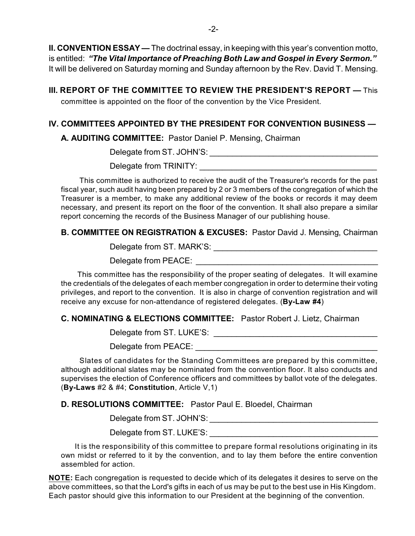**II. CONVENTION ESSAY —** The doctrinal essay, in keeping with this year's convention motto, is entitled: *"The Vital Importance of Preaching Both Law and Gospel in Every Sermon."* It will be delivered on Saturday morning and Sunday afternoon by the Rev. David T. Mensing.

**III. REPORT OF THE COMMITTEE TO REVIEW THE PRESIDENT'S REPORT —** This committee is appointed on the floor of the convention by the Vice President.

#### **IV. COMMITTEES APPOINTED BY THE PRESIDENT FOR CONVENTION BUSINESS —**

**A. AUDITING COMMITTEE:** Pastor Daniel P. Mensing, Chairman

Delegate from ST. JOHN'S: \_\_\_\_\_\_\_\_\_\_\_\_\_\_\_\_\_\_\_\_\_\_\_\_\_\_\_\_\_\_\_\_\_\_\_\_\_

Delegate from TRINITY:

 This committee is authorized to receive the audit of the Treasurer's records for the past fiscal year, such audit having been prepared by 2 or 3 members of the congregation of which the Treasurer is a member, to make any additional review of the books or records it may deem necessary, and present its report on the floor of the convention. It shall also prepare a similar report concerning the records of the Business Manager of our publishing house.

#### **B. COMMITTEE ON REGISTRATION & EXCUSES:** Pastor David J. Mensing, Chairman

Delegate from ST. MARK'S: \_\_\_\_\_\_\_\_\_\_\_\_\_\_\_\_\_\_\_\_\_\_\_\_\_\_\_\_\_\_\_\_\_\_\_\_

Delegate from PEACE:

 This committee has the responsibility of the proper seating of delegates. It will examine the credentials of the delegates of each member congregation in order to determine their voting privileges, and report to the convention. It is also in charge of convention registration and will receive any excuse for non-attendance of registered delegates. (**By-Law #4**)

#### **C. NOMINATING & ELECTIONS COMMITTEE:** Pastor Robert J. Lietz, Chairman

Delegate from ST. LUKE'S: **Example 20** and the contract of the contract of the contract of the contract of the contract of the contract of the contract of the contract of the contract of the contract of the contract of the

Delegate from PEACE:

 Slates of candidates for the Standing Committees are prepared by this committee, although additional slates may be nominated from the convention floor. It also conducts and supervises the election of Conference officers and committees by ballot vote of the delegates. (**By-Laws** #2 & #4; **Constitution**, Article V,1)

**D. RESOLUTIONS COMMITTEE:** Pastor Paul E. Bloedel, Chairman

Delegate from ST. JOHN'S:

Delegate from ST. LUKE'S:

It is the responsibility of this committee to prepare formal resolutions originating in its own midst or referred to it by the convention, and to lay them before the entire convention assembled for action.

**NOTE:** Each congregation is requested to decide which of its delegates it desires to serve on the above committees, so that the Lord's gifts in each of us may be put to the best use in His Kingdom. Each pastor should give this information to our President at the beginning of the convention.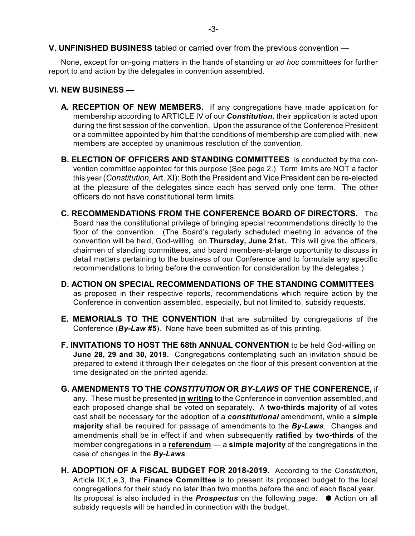None, except for on-going matters in the hands of standing or *ad hoc* committees for further report to and action by the delegates in convention assembled.

#### **VI. NEW BUSINESS —**

- **A. RECEPTION OF NEW MEMBERS.** If any congregations have made application for membership according to ARTICLE IV of our *Constitution,* their application is acted upon during the first session of the convention. Upon the assurance of the Conference President or a committee appointed by him that the conditions of membership are complied with, new members are accepted by unanimous resolution of the convention.
- **B. ELECTION OF OFFICERS AND STANDING COMMITTEES** is conducted by the convention committee appointed for this purpose (See page 2.) Term limits are NOT a factor this year (*Constitution,* Art. XI): Both the President and Vice President can be re-elected at the pleasure of the delegates since each has served only one term. The other officers do not have constitutional term limits.
- **C. RECOMMENDATIONS FROM THE CONFERENCE BOARD OF DIRECTORS.** The Board has the constitutional privilege of bringing special recommendations directly to the floor of the convention. (The Board's regularly scheduled meeting in advance of the convention will be held, God-willing, on **Thursday, June 21st.** This will give the officers, chairmen of standing committees, and board members-at-large opportunity to discuss in detail matters pertaining to the business of our Conference and to formulate any specific recommendations to bring before the convention for consideration by the delegates.)
- **D. ACTION ON SPECIAL RECOMMENDATIONS OF THE STANDING COMMITTEES** as proposed in their respective reports, recommendations which require action by the Conference in convention assembled, especially, but not limited to, subsidy requests.
- **E. MEMORIALS TO THE CONVENTION** that are submitted by congregations of the Conference (*By-Law* **#5**). None have been submitted as of this printing.
- **F. INVITATIONS TO HOST THE 68th ANNUAL CONVENTION** to be held God-willing on **June 28, 29 and 30, 2019.** Congregations contemplating such an invitation should be prepared to extend it through their delegates on the floor of this present convention at the time designated on the printed agenda.
- **G. AMENDMENTS TO THE** *CONSTITUTION* **OR** *BY-LAWS* **OF THE CONFERENCE,** if any. These must be presented **in writing** to the Conference in convention assembled, and each proposed change shall be voted on separately. A **two-thirds majority** of all votes cast shall be necessary for the adoption of a *constitutional* amendment, while a **simple majority** shall be required for passage of amendments to the *By-Laws*. Changes and amendments shall be in effect if and when subsequently **ratified** by **two-thirds** of the member congregations in a **referendum** — a **simple majority** of the congregations in the case of changes in the *By-Laws*.
- **H. ADOPTION OF A FISCAL BUDGET FOR 2018-2019.** According to the *Constitution*, Article IX,1,e,3, the **Finance Committee** is to present its proposed budget to the local congregations for their study no later than two months before the end of each fiscal year. Its proposal is also included in the **Prospectus** on the following page.  $\bullet$  Action on all subsidy requests will be handled in connection with the budget.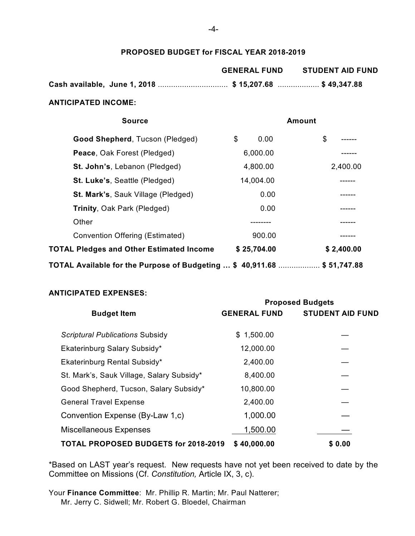#### **PROPOSED BUDGET for FISCAL YEAR 2018-2019**

|                                                        | <b>GENERAL FUND</b> | <b>STUDENT AID FUND</b> |
|--------------------------------------------------------|---------------------|-------------------------|
| Cash available, June 1, 2018 \$ 15,207.68 \$ 49,347.88 |                     |                         |

#### **ANTICIPATED INCOME:**

| <b>Source</b>                                                                   |             | Amount     |
|---------------------------------------------------------------------------------|-------------|------------|
| Good Shepherd, Tucson (Pledged)                                                 | \$<br>0.00  | \$         |
| Peace, Oak Forest (Pledged)                                                     | 6,000.00    |            |
| St. John's, Lebanon (Pledged)                                                   | 4,800.00    | 2,400.00   |
| St. Luke's, Seattle (Pledged)                                                   | 14,004.00   |            |
| <b>St. Mark's, Sauk Village (Pledged)</b>                                       | 0.00        |            |
| Trinity, Oak Park (Pledged)                                                     | 0.00        |            |
| Other                                                                           |             |            |
| <b>Convention Offering (Estimated)</b>                                          | 900.00      | ------     |
| <b>TOTAL Pledges and Other Estimated Income</b>                                 | \$25,704.00 | \$2,400.00 |
| TOTAL Available for the Purpose of Budgeting … \$ 40,911.68 ……………… \$ 51,747.88 |             |            |

#### **ANTICIPATED EXPENSES:**

|                                             | <b>Proposed Budgets</b> |                         |  |
|---------------------------------------------|-------------------------|-------------------------|--|
| <b>Budget Item</b>                          | <b>GENERAL FUND</b>     | <b>STUDENT AID FUND</b> |  |
|                                             |                         |                         |  |
| <b>Scriptural Publications Subsidy</b>      | \$1,500.00              |                         |  |
| Ekaterinburg Salary Subsidy*                | 12,000.00               |                         |  |
| Ekaterinburg Rental Subsidy*                | 2,400.00                |                         |  |
| St. Mark's, Sauk Village, Salary Subsidy*   | 8,400.00                |                         |  |
| Good Shepherd, Tucson, Salary Subsidy*      | 10,800.00               |                         |  |
| <b>General Travel Expense</b>               | 2,400.00                |                         |  |
| Convention Expense (By-Law 1,c)             | 1,000.00                |                         |  |
| <b>Miscellaneous Expenses</b>               | 1,500.00                |                         |  |
| <b>TOTAL PROPOSED BUDGETS for 2018-2019</b> | \$40,000.00             | \$0.00                  |  |

\*Based on LAST year's request. New requests have not yet been received to date by the Committee on Missions (Cf. *Constitution,* Article IX, 3, c).

Your **Finance Committee**: Mr. Phillip R. Martin; Mr. Paul Natterer; Mr. Jerry C. Sidwell; Mr. Robert G. Bloedel, Chairman